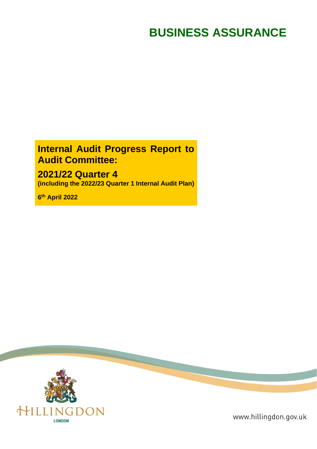# **BUSINESS ASSURANCE**

# **Internal Audit Progress Report to Audit Committee:**

# **2021/22 Quarter 4**

**(including the 2022/23 Quarter 1 Internal Audit Plan)**

**6 th April 2022**



www.hillingdon.gov.uk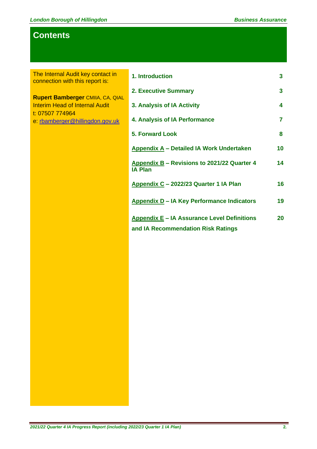# **Contents**

The Internal Audit key contact in connection with this report is:

**Rupert Bamberger** CMIIA, CA, QIAL Interim Head of Internal Audit t: 07507 774964 e: [rbamberger@hillingdon.gov.uk](mailto:rbamberger@hillingdon.gov.uk)

| 1. Introduction                                                                          | $\mathbf{3}$   |
|------------------------------------------------------------------------------------------|----------------|
| <b>2. Executive Summary</b>                                                              | $\mathbf{3}$   |
| 3. Analysis of IA Activity                                                               | 4              |
| 4. Analysis of IA Performance                                                            | $\overline{7}$ |
| <b>5. Forward Look</b>                                                                   | 8              |
| <b>Appendix A - Detailed IA Work Undertaken</b>                                          | 10             |
| Appendix B – Revisions to 2021/22 Quarter 4<br><b>IA Plan</b>                            | 14             |
| Appendix C - 2022/23 Quarter 1 IA Plan                                                   | 16             |
| <b>Appendix D - IA Key Performance Indicators</b>                                        | 19             |
| <b>Appendix E – IA Assurance Level Definitions</b><br>and IA Recommendation Risk Ratings | 20             |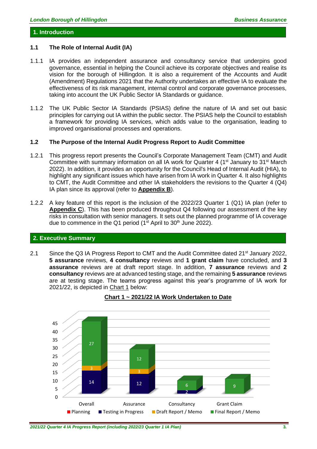#### **1. Introduction**

#### **1.1 The Role of Internal Audit (IA)**

- 1.1.1 IA provides an independent assurance and consultancy service that underpins good governance, essential in helping the Council achieve its corporate objectives and realise its vision for the borough of Hillingdon. It is also a requirement of the Accounts and Audit (Amendment) Regulations 2021 that the Authority undertakes an effective IA to evaluate the effectiveness of its risk management, internal control and corporate governance processes, taking into account the UK Public Sector IA Standards or guidance.
- 1.1.2 The UK Public Sector IA Standards (PSIAS) define the nature of IA and set out basic principles for carrying out IA within the public sector. The PSIAS help the Council to establish a framework for providing IA services, which adds value to the organisation, leading to improved organisational processes and operations.

#### **1.2 The Purpose of the Internal Audit Progress Report to Audit Committee**

- 1.2.1 This progress report presents the Council's Corporate Management Team (CMT) and Audit Committee with summary information on all IA work for Quarter 4 (1<sup>st</sup> January to 31<sup>st</sup> March 2022). In addition, it provides an opportunity for the Council's Head of Internal Audit (HIA), to highlight any significant issues which have arisen from IA work in Quarter 4. It also highlights to CMT, the Audit Committee and other IA stakeholders the revisions to the Quarter 4 (Q4) IA plan since its approval (refer to **Appendix B**).
- 1.2.2 A key feature of this report is the inclusion of the 2022/23 Quarter 1 (Q1) IA plan (refer to **Appendix C**). This has been produced throughout Q4 following our assessment of the key risks in consultation with senior managers. It sets out the planned programme of IA coverage due to commence in the Q1 period ( $1<sup>st</sup>$  April to 30<sup>th</sup> June 2022).

#### **2. Executive Summary**

2.1 Since the Q3 IA Progress Report to CMT and the Audit Committee dated 21<sup>st</sup> January 2022, **5 assurance** reviews, **4 consultancy** reviews and **1 grant claim** have concluded, and **3 assurance** reviews are at draft report stage. In addition, **7 assurance** reviews and **2 consultancy** reviews are at advanced testing stage, and the remaining **5 assurance** reviews are at testing stage. The teams progress against this year's programme of IA work for 2021/22, is depicted in Chart 1 below:



#### **Chart 1 ~ 2021/22 IA Work Undertaken to Date**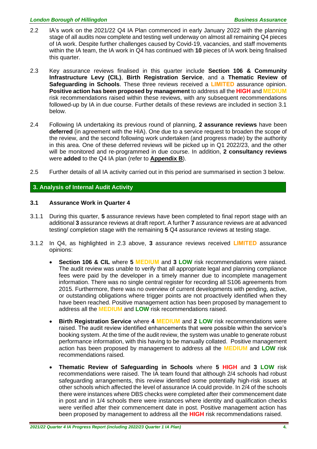- 2.2 IA's work on the 2021/22 Q4 IA Plan commenced in early January 2022 with the planning stage of all audits now complete and testing well underway on almost all remaining Q4 pieces of IA work. Despite further challenges caused by Covid-19, vacancies, and staff movements within the IA team, the IA work in Q4 has continued with **10** pieces of IA work being finalised this quarter.
- 2.3 Key assurance reviews finalised in this quarter include **Section 106 & Community Infrastructure Levy (CIL)**, **Birth Registration Service**, and a **Thematic Review of Safeguarding in Schools**. These three reviews received a **LIMITED** assurance opinion. **Positive action has been proposed by management** to address all the **HIGH** and **MEDIUM** risk recommendations raised within these reviews, with any subsequent recommendations followed-up by IA in due course. Further details of these reviews are included in section 3.1 below.
- 2.4 Following IA undertaking its previous round of planning, **2 assurance reviews** have been **deferred** (in agreement with the HIA). One due to a service request to broaden the scope of the review, and the second following work undertaken (and progress made) by the authority in this area. One of these deferred reviews will be picked up in Q1 2022/23, and the other will be monitored and re-programmed in due course. In addition, **2 consultancy reviews** were **added** to the Q4 IA plan (refer to **Appendix B**).
- 2.5 Further details of all IA activity carried out in this period are summarised in section 3 below.

#### **3. Analysis of Internal Audit Activity**

#### **3.1 Assurance Work in Quarter 4**

- 3.1.1 During this quarter, **5** assurance reviews have been completed to final report stage with an additional **3** assurance reviews at draft report. A further **7** assurance reviews are at advanced testing/ completion stage with the remaining **5** Q4 assurance reviews at testing stage.
- 3.1.2 In Q4, as highlighted in 2.3 above, **3** assurance reviews received **LIMITED** assurance opinions:
	- **Section 106 & CIL** where **5 MEDIUM** and **3 LOW** risk recommendations were raised. The audit review was unable to verify that all appropriate legal and planning compliance fees were paid by the developer in a timely manner due to incomplete management information. There was no single central register for recording all S106 agreements from 2015. Furthermore, there was no overview of current developments with pending, active, or outstanding obligations where trigger points are not proactively identified when they have been reached. Positive management action has been proposed by management to address all the **MEDIUM** and **LOW** risk recommendations raised.
	- **Birth Registration Service** where **4 MEDIUM** and **2 LOW** risk recommendations were raised. The audit review identified enhancements that were possible within the service's booking system. At the time of the audit review, the system was unable to generate robust performance information, with this having to be manually collated. Positive management action has been proposed by management to address all the **MEDIUM** and **LOW** risk recommendations raised.
	- **Thematic Review of Safeguarding in Schools** where **5 HIGH** and **3 LOW** risk recommendations were raised. The IA team found that although 2/4 schools had robust safeguarding arrangements, this review identified some potentially high-risk issues at other schools which affected the level of assurance IA could provide. In 2/4 of the schools there were instances where DBS checks were completed after their commencement date in post and in 1/4 schools there were instances where identity and qualification checks were verified after their commencement date in post. Positive management action has been proposed by management to address all the **HIGH** risk recommendations raised.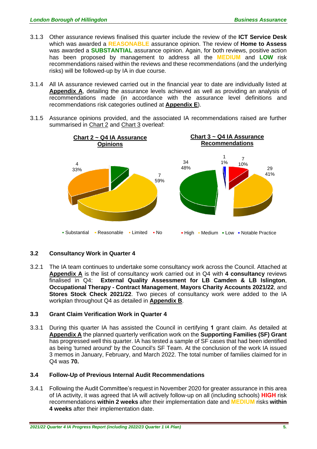- 3.1.3 Other assurance reviews finalised this quarter include the review of the **ICT Service Desk** which was awarded a **REASONABLE** assurance opinion. The review of **Home to Assess** was awarded a **SUBSTANTIAL** assurance opinion. Again, for both reviews, positive action has been proposed by management to address all the **MEDIUM** and **LOW** risk recommendations raised within the reviews and these recommendations (and the underlying risks) will be followed-up by IA in due course.
- 3.1.4 All IA assurance reviewed carried out in the financial year to date are individually listed at **Appendix A**, detailing the assurance levels achieved as well as providing an analysis of recommendations made (in accordance with the assurance level definitions and recommendations risk categories outlined at **Appendix E**).
- 3.1.5 Assurance opinions provided, and the associated IA recommendations raised are further summarised in Chart 2 and Chart 3 overleaf:



### **3.2 Consultancy Work in Quarter 4**

3.2.1 The IA team continues to undertake some consultancy work across the Council. Attached at **Appendix A** is the list of consultancy work carried out in Q4 with **4 consultancy** reviews finalised in Q4: **External Quality Assessment for LB Camden & LB Islington**, **Occupational Therapy - Contract Management**, **Mayors Charity Accounts 2021/22**, and **Stores Stock Check 2021/22**. Two pieces of consultancy work were added to the IA workplan throughout Q4 as detailed in **Appendix B**.

### **3.3 Grant Claim Verification Work in Quarter 4**

3.3.1 During this quarter IA has assisted the Council in certifying **1** grant claim. As detailed at **Appendix A** the planned quarterly verification work on the **Supporting Families (SF) Grant** has progressed well this quarter. IA has tested a sample of SF cases that had been identified as being 'turned around' by the Council's SF Team. At the conclusion of the work IA issued 3 memos in January, February, and March 2022. The total number of families claimed for in Q4 was **70.**

#### **3.4 Follow-Up of Previous Internal Audit Recommendations**

3.4.1 Following the Audit Committee's request in November 2020 for greater assurance in this area of IA activity, it was agreed that IA will actively follow-up on all (including schools) **HIGH** risk recommendations **within 2 weeks** after their implementation date and **MEDIUM** risks **within 4 weeks** after their implementation date.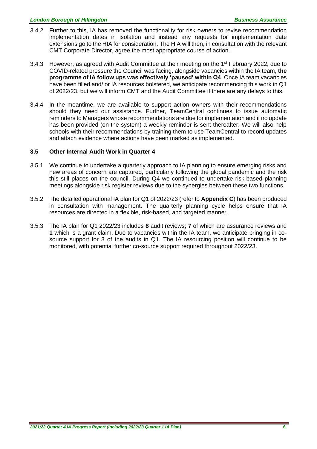- 3.4.2 Further to this, IA has removed the functionality for risk owners to revise recommendation implementation dates in isolation and instead any requests for implementation date extensions go to the HIA for consideration. The HIA will then, in consultation with the relevant CMT Corporate Director, agree the most appropriate course of action.
- 3.4.3 However, as agreed with Audit Committee at their meeting on the  $1<sup>st</sup>$  February 2022, due to COVID-related pressure the Council was facing, alongside vacancies within the IA team, **the programme of IA follow ups was effectively 'paused' within Q4**. Once IA team vacancies have been filled and/ or IA resources bolstered, we anticipate recommencing this work in Q1 of 2022/23, but we will inform CMT and the Audit Committee if there are any delays to this.
- 3.4.4 In the meantime, we are available to support action owners with their recommendations should they need our assistance. Further, TeamCentral continues to issue automatic reminders to Managers whose recommendations are due for implementation and if no update has been provided (on the system) a weekly reminder is sent thereafter. We will also help schools with their recommendations by training them to use TeamCentral to record updates and attach evidence where actions have been marked as implemented.

#### **3.5 Other Internal Audit Work in Quarter 4**

- 3.5.1 We continue to undertake a quarterly approach to IA planning to ensure emerging risks and new areas of concern are captured, particularly following the global pandemic and the risk this still places on the council. During Q4 we continued to undertake risk-based planning meetings alongside risk register reviews due to the synergies between these two functions.
- 3.5.2 The detailed operational IA plan for Q1 of 2022/23 (refer to **Appendix C**) has been produced in consultation with management. The quarterly planning cycle helps ensure that IA resources are directed in a flexible, risk-based, and targeted manner.
- 3.5.3 The IA plan for Q1 2022/23 includes **8** audit reviews; **7** of which are assurance reviews and **1** which is a grant claim. Due to vacancies within the IA team, we anticipate bringing in cosource support for 3 of the audits in Q1. The IA resourcing position will continue to be monitored, with potential further co-source support required throughout 2022/23.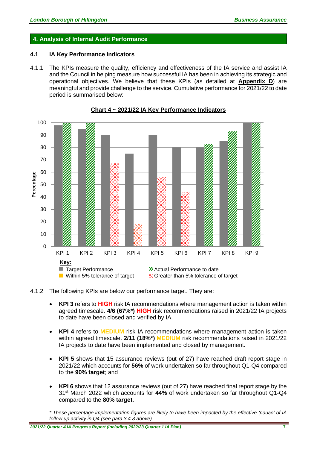#### **4. Analysis of Internal Audit Performance**

#### **4.1 IA Key Performance Indicators**

4.1.1 The KPIs measure the quality, efficiency and effectiveness of the IA service and assist IA and the Council in helping measure how successful IA has been in achieving its strategic and operational objectives. We believe that these KPIs (as detailed at **Appendix D**) are meaningful and provide challenge to the service. Cumulative performance for 2021/22 to date period is summarised below:



**Chart 4 ~ 2021/22 IA Key Performance Indicators**

4.1.2 The following KPIs are below our performance target. They are:

- **KPI 3** refers to **HIGH** risk IA recommendations where management action is taken within agreed timescale. **4/6 (67%\*) HIGH** risk recommendations raised in 2021/22 IA projects to date have been closed and verified by IA.
- **KPI 4** refers to **MEDIUM** risk IA recommendations where management action is taken within agreed timescale. **2/11 (18%\*) MEDIUM** risk recommendations raised in 2021/22 IA projects to date have been implemented and closed by management.
- **KPI 5** shows that 15 assurance reviews (out of 27) have reached draft report stage in 2021/22 which accounts for **56%** of work undertaken so far throughout Q1-Q4 compared to the **90% target**; and
- **KPI 6** shows that 12 assurance reviews (out of 27) have reached final report stage by the 31st March 2022 which accounts for **44%** of work undertaken so far throughout Q1-Q4 compared to the **80% target**.

*\* These percentage implementation figures are likely to have been impacted by the effective 'pause' of IA follow up activity in Q4 (see para 3.4.3 above).*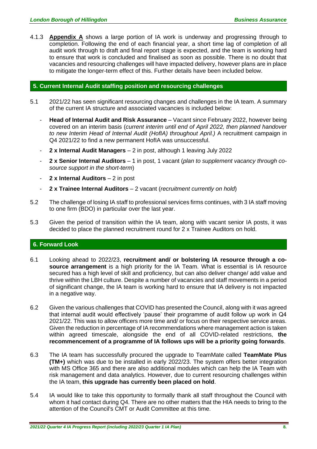4.1.3 **Appendix A** shows a large portion of IA work is underway and progressing through to completion. Following the end of each financial year, a short time lag of completion of all audit work through to draft and final report stage is expected, and the team is working hard to ensure that work is concluded and finalised as soon as possible. There is no doubt that vacancies and resourcing challenges will have impacted delivery, however plans are in place to mitigate the longer-term effect of this. Further details have been included below.

#### **5. Current Internal Audit staffing position and resourcing challenges**

- 5.1 2021/22 has seen significant resourcing changes and challenges in the IA team. A summary of the current IA structure and associated vacancies is included below:
	- **Head of Internal Audit and Risk Assurance** Vacant since February 2022, however being covered on an interim basis (*current interim until end of April 2022, then planned handover to new Interim Head of Internal Audit (HofIA) throughout April.)* A recruitment campaign in Q4 2021/22 to find a new permanent HofIA was unsuccessful.
	- **2 x Internal Audit Managers**  2 in post, although 1 leaving July 2022
	- **2 x Senior Internal Auditors**  1 in post, 1 vacant (*plan to supplement vacancy through cosource support in the short-term*)
	- **2 x Internal Auditors**  2 in post
	- **2 x Trainee Internal Auditors**  2 vacant (*recruitment currently on hold*)
- 5.2 The challenge of losing IA staff to professional services firms continues, with 3 IA staff moving to one firm (BDO) in particular over the last year.
- 5.3 Given the period of transition within the IA team, along with vacant senior IA posts, it was decided to place the planned recruitment round for 2 x Trainee Auditors on hold.

#### **6. Forward Look**

- 6.1 Looking ahead to 2022/23, **recruitment and/ or bolstering IA resource through a cosource arrangement** is a high priority for the IA Team. What is essential is IA resource secured has a high level of skill and proficiency, but can also deliver change/ add value and thrive within the LBH culture. Despite a number of vacancies and staff movements in a period of significant change, the IA team is working hard to ensure that IA delivery is not impacted in a negative way.
- 6.2 Given the various challenges that COVID has presented the Council, along with it was agreed that internal audit would effectively 'pause' their programme of audit follow up work in Q4 2021/22. This was to allow officers more time and/ or focus on their respective service areas. Given the reduction in percentage of IA recommendations where management action is taken within agreed timescale, alongside the end of all COVID-related restrictions, **the recommencement of a programme of IA follows ups will be a priority going forwards**.
- 6.3 The IA team has successfully procured the upgrade to TeamMate called **TeamMate Plus (TM+)** which was due to be installed in early 2022/23. The system offers better integration with MS Office 365 and there are also additional modules which can help the IA Team with risk management and data analytics. However, due to current resourcing challenges within the IA team, **this upgrade has currently been placed on hold**.
- 5.4 IA would like to take this opportunity to formally thank all staff throughout the Council with whom it had contact during Q4. There are no other matters that the HIA needs to bring to the attention of the Council's CMT or Audit Committee at this time.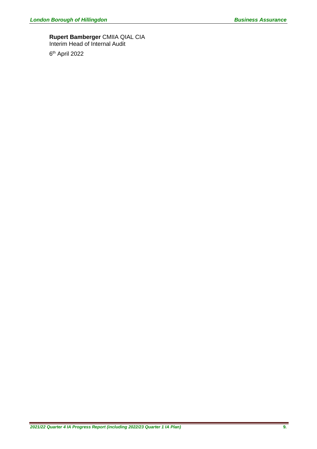#### **Rupert Bamberger** CMIIA QIAL CIA Interim Head of Internal Audit

6 th April 2022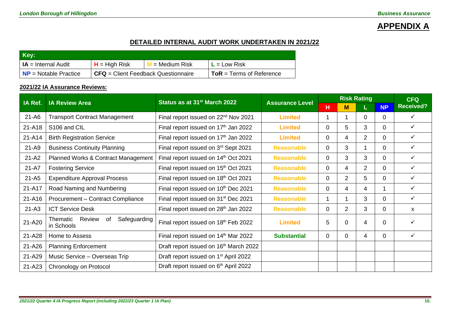# **APPENDIX A**

## **DETAILED INTERNAL AUDIT WORK UNDERTAKEN IN 2021/22**

| Key:                             |                                       |                              |                                  |
|----------------------------------|---------------------------------------|------------------------------|----------------------------------|
| <b>IA</b> = Internal Audit       | $H = High Risk$                       | <mark>∥ = Medium Risk</mark> | $L = Low Risk$                   |
| $\mathsf{NP}$ = Notable Practice | $CFA = Client Feedback Questionnaire$ |                              | $\vert$ ToR = Terms of Reference |

### **2021/22 IA Assurance Reviews:**

| IA Ref.<br><b>IA Review Area</b> |                                                        | Status as at 31 <sup>st</sup> March 2022           | <b>Assurance Level</b> | <b>Risk Rating</b> |                |             |                | <b>CFQ</b>       |  |
|----------------------------------|--------------------------------------------------------|----------------------------------------------------|------------------------|--------------------|----------------|-------------|----------------|------------------|--|
|                                  |                                                        |                                                    |                        | н                  | M              | L.          | <b>NP</b>      | <b>Received?</b> |  |
| $21 - A6$                        | <b>Transport Contract Management</b>                   | Final report issued on 22 <sup>nd</sup> Nov 2021   | <b>Limited</b>         |                    |                | $\mathbf 0$ | $\Omega$       | $\checkmark$     |  |
| 21-A18                           | S106 and CIL                                           | Final report issued on 17 <sup>th</sup> Jan 2022   | <b>Limited</b>         | $\Omega$           | 5              | 3           | 0              | $\checkmark$     |  |
| 21-A14                           | <b>Birth Registration Service</b>                      | Final report issued on 17 <sup>th</sup> Jan 2022   | <b>Limited</b>         | 0                  | 4              | 2           | 0              | ✓                |  |
| $21 - A9$                        | <b>Business Continuity Planning</b>                    | Final report issued on 3rd Sept 2021               | <b>Reasonable</b>      | 0                  | 3              |             | 0              | ✓                |  |
| $21 - A2$                        | Planned Works & Contract Management                    | Final report issued on 14th Oct 2021               | <b>Reasonable</b>      | 0                  | 3              | 3           | $\Omega$       | $\checkmark$     |  |
| $21 - A7$                        | <b>Fostering Service</b>                               | Final report issued on 15 <sup>th</sup> Oct 2021   | <b>Reasonable</b>      | $\Omega$           | 4              | 2           | 0              | ✓                |  |
| $21 - A5$                        | <b>Expenditure Approval Process</b>                    | Final report issued on 18th Oct 2021               | <b>Reasonable</b>      | 0                  | $\overline{2}$ | 5           | $\overline{0}$ | ✓                |  |
| 21-A17                           | Road Naming and Numbering                              | Final report issued on 10 <sup>th</sup> Dec 2021   | <b>Reasonable</b>      | $\Omega$           | 4              | 4           |                | ✓                |  |
| 21-A16                           | Procurement - Contract Compliance                      | Final report issued on 31 <sup>st</sup> Dec 2021   | <b>Reasonable</b>      |                    |                | 3           | 0              | ✓                |  |
| $21 - A3$                        | <b>ICT Service Desk</b>                                | Final report issued on 28 <sup>th</sup> Jan 2022   | <b>Reasonable</b>      | 0                  | 2              | 3           | 0              | X                |  |
| 21-A20                           | Safeguarding<br>Review<br>of<br>Thematic<br>in Schools | Final report issued on 18th Feb 2022               | Limited                | 5                  | 0              | 4           | 0              | ✓                |  |
| 21-A28                           | Home to Assess                                         | Final report issued on 14th Mar 2022               | <b>Substantial</b>     | $\Omega$           | $\mathbf 0$    | 4           | $\overline{0}$ | ✓                |  |
| 21-A26                           | <b>Planning Enforcement</b>                            | Draft report issued on 16 <sup>th</sup> March 2022 |                        |                    |                |             |                |                  |  |
| 21-A29                           | Music Service - Overseas Trip                          | Draft report issued on 1 <sup>st</sup> April 2022  |                        |                    |                |             |                |                  |  |
| 21-A23                           | Chronology on Protocol                                 | Draft report issued on 6th April 2022              |                        |                    |                |             |                |                  |  |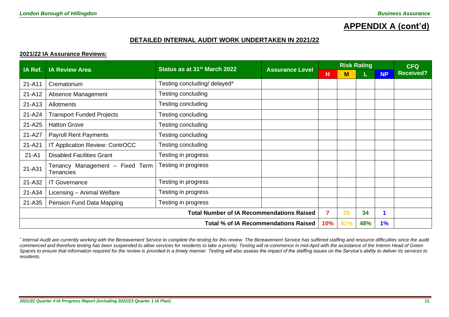# **APPENDIX A (cont'd)**

#### **DETAILED INTERNAL AUDIT WORK UNDERTAKEN IN 2021/22**

#### **2021/22 IA Assurance Reviews:**

| IA Ref.   | <b>IA Review Area</b>                            | Status as at 31 <sup>st</sup> March 2022    | <b>Assurance Level</b> |     |     | <b>Risk Rating</b> |           | <b>CFQ</b>       |
|-----------|--------------------------------------------------|---------------------------------------------|------------------------|-----|-----|--------------------|-----------|------------------|
|           |                                                  |                                             |                        | н   | M   |                    | <b>NP</b> | <b>Received?</b> |
| 21-A11    | Crematorium                                      | Testing concluding/ delayed*                |                        |     |     |                    |           |                  |
| 21-A12    | Absence Management                               | Testing concluding                          |                        |     |     |                    |           |                  |
| 21-A13    | <b>Allotments</b>                                | Testing concluding                          |                        |     |     |                    |           |                  |
| 21-A24    | <b>Transport Funded Projects</b>                 | Testing concluding                          |                        |     |     |                    |           |                  |
| 21-A25    | <b>Hatton Grove</b>                              | Testing concluding                          |                        |     |     |                    |           |                  |
| 21-A27    | <b>Payroll Rent Payments</b>                     | Testing concluding                          |                        |     |     |                    |           |                  |
| 21-A21    | IT Application Review: ContrOCC                  | Testing concluding                          |                        |     |     |                    |           |                  |
| $21 - A1$ | <b>Disabled Facilities Grant</b>                 | Testing in progress                         |                        |     |     |                    |           |                  |
| 21-A31    | Tenancy Management - Fixed Term<br>Tenancies     | Testing in progress                         |                        |     |     |                    |           |                  |
| 21-A32    | <b>IT Governance</b>                             | Testing in progress                         |                        |     |     |                    |           |                  |
| 21-A34    | Licensing - Animal Welfare                       | Testing in progress                         |                        |     |     |                    |           |                  |
| 21-A35    | Pension Fund Data Mapping                        | Testing in progress                         |                        |     |     |                    |           |                  |
|           | <b>Total Number of IA Recommendations Raised</b> |                                             |                        |     |     |                    | 1         |                  |
|           |                                                  | <b>Total % of IA Recommendations Raised</b> | 10%                    | 41% | 48% | 1%                 |           |                  |

\* Internal Audit are currently working with the Bereavement Service to complete the testing for this review. The Bereavement Service has suffered staffing and resource difficulties since the audit *commenced and therefore testing has been suspended to allow services for residents to take a priority. Testing will re-commence in mid-April with the assistance of the Interim Head of Green*  Spaces to ensure that information required for the review is provided in a timely manner. Testing will also assess the impact of the staffing issues on the Service's ability to deliver its services to *residents.*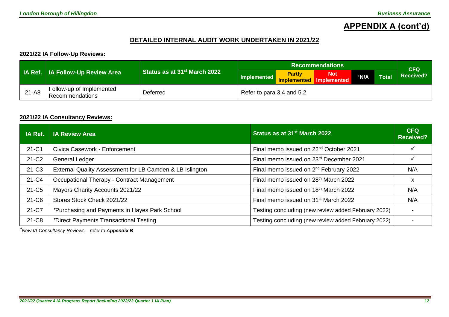# **APPENDIX A (cont'd)**

### **DETAILED INTERNAL AUDIT WORK UNDERTAKEN IN 2021/22**

#### **2021/22 IA Follow-Up Reviews:**

|           |                                             |                                          |                           | CFQ                                      |            |            |              |
|-----------|---------------------------------------------|------------------------------------------|---------------------------|------------------------------------------|------------|------------|--------------|
|           | <b>IA Ref.</b> IA Follow-Up Review Area     | Status as at 31 <sup>st</sup> March 2022 | Implemented               | <b>Partly</b><br>Implemented Implemented | <b>Not</b> | <b>TNA</b> | <b>Total</b> |
| $21 - A8$ | Follow-up of Implemented<br>Recommendations | Deferred                                 | Refer to para 3.4 and 5.2 |                                          |            |            |              |

#### **2021/22 IA Consultancy Reviews:**

| IA Ref.           | <b>IA Review Area</b>                                    | Status as at 31 <sup>st</sup> March 2022            | <b>CFQ</b><br><b>Received?</b> |
|-------------------|----------------------------------------------------------|-----------------------------------------------------|--------------------------------|
| $21-C1$           | Civica Casework - Enforcement                            | Final memo issued on 22 <sup>nd</sup> October 2021  |                                |
| 21-C <sub>2</sub> | <b>General Ledger</b>                                    | Final memo issued on 23rd December 2021             |                                |
| $21-C3$           | External Quality Assessment for LB Camden & LB Islington | Final memo issued on 2 <sup>nd</sup> February 2022  | N/A                            |
| 21-C4             | Occupational Therapy - Contract Management               | Final memo issued on 28th March 2022                | x                              |
| 21-C <sub>5</sub> | Mayors Charity Accounts 2021/22                          | Final memo issued on 18 <sup>th</sup> March 2022    | N/A                            |
| 21-C6             | Stores Stock Check 2021/22                               | Final memo issued on 31 <sup>st</sup> March 2022    | N/A                            |
| 21-C7             | <i>*Purchasing and Payments in Hayes Park School</i>     | Testing concluding (new review added February 2022) |                                |
| 21-C8             | *Direct Payments Transactional Testing                   | Testing concluding (new review added February 2022) |                                |

*New IA Consultancy Reviews – refer to Appendix B*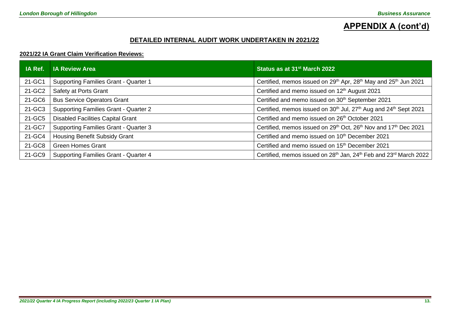# **APPENDIX A (cont'd)**

### **DETAILED INTERNAL AUDIT WORK UNDERTAKEN IN 2021/22**

#### **2021/22 IA Grant Claim Verification Reviews:**

| IA Ref. | <b>IA Review Area</b>                        | Status as at 31 <sup>st</sup> March 2022                                                              |
|---------|----------------------------------------------|-------------------------------------------------------------------------------------------------------|
| 21-GC1  | Supporting Families Grant - Quarter 1        | Certified, memos issued on 29 <sup>th</sup> Apr, 28 <sup>th</sup> May and 25 <sup>th</sup> Jun 2021   |
| 21-GC2  | Safety at Ports Grant                        | Certified and memo issued on 12th August 2021                                                         |
| 21-GC6  | <b>Bus Service Operators Grant</b>           | Certified and memo issued on 30 <sup>th</sup> September 2021                                          |
| 21-GC3  | Supporting Families Grant - Quarter 2        | Certified, memos issued on 30 <sup>th</sup> Jul, 27 <sup>th</sup> Aug and 24 <sup>th</sup> Sept 2021  |
| 21-GC5  | <b>Disabled Facilities Capital Grant</b>     | Certified and memo issued on 26 <sup>th</sup> October 2021                                            |
| 21-GC7  | <b>Supporting Families Grant - Quarter 3</b> | Certified, memos issued on 29 <sup>th</sup> Oct, 26 <sup>th</sup> Nov and 17 <sup>th</sup> Dec 2021   |
| 21-GC4  | <b>Housing Benefit Subsidy Grant</b>         | Certified and memo issued on 10 <sup>th</sup> December 2021                                           |
| 21-GC8  | <b>Green Homes Grant</b>                     | Certified and memo issued on 15 <sup>th</sup> December 2021                                           |
| 21-GC9  | Supporting Families Grant - Quarter 4        | Certified, memos issued on 28 <sup>th</sup> Jan, 24 <sup>th</sup> Feb and 23 <sup>rd</sup> March 2022 |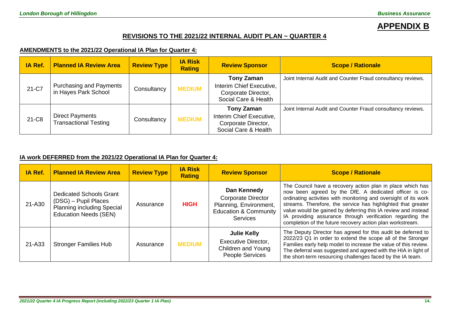# **APPENDIX B**

### **REVISIONS TO THE 2021/22 INTERNAL AUDIT PLAN ~ QUARTER 4**

### **AMENDMENTS to the 2021/22 Operational IA Plan for Quarter 4:**

| IA Ref. | <b>Planned IA Review Area</b>                          | <b>Review Type</b> | <b>IA Risk</b><br><b>Rating</b> | <b>Review Sponsor</b>                                                                        | <b>Scope / Rationale</b>                                    |
|---------|--------------------------------------------------------|--------------------|---------------------------------|----------------------------------------------------------------------------------------------|-------------------------------------------------------------|
| 21-C7   | <b>Purchasing and Payments</b><br>in Hayes Park School | Consultancy        | <b>MEDIUM</b>                   | <b>Tony Zaman</b><br>Interim Chief Executive,<br>Corporate Director,<br>Social Care & Health | Joint Internal Audit and Counter Fraud consultancy reviews. |
| 21-C8   | <b>Direct Payments</b><br><b>Transactional Testing</b> | Consultancy        | <b>MEDIUM</b>                   | <b>Tony Zaman</b><br>Interim Chief Executive,<br>Corporate Director,<br>Social Care & Health | Joint Internal Audit and Counter Fraud consultancy reviews. |

#### **IA work DEFERRED from the 2021/22 Operational IA Plan for Quarter 4:**

| IA Ref. | <b>Planned IA Review Area</b>                                                                                               | <b>Review Type</b> | <b>IA Risk</b><br><b>Rating</b> | <b>Review Sponsor</b>                                                                                                     | <b>Scope / Rationale</b>                                                                                                                                                                                                                                                                                                                                                                                                                           |
|---------|-----------------------------------------------------------------------------------------------------------------------------|--------------------|---------------------------------|---------------------------------------------------------------------------------------------------------------------------|----------------------------------------------------------------------------------------------------------------------------------------------------------------------------------------------------------------------------------------------------------------------------------------------------------------------------------------------------------------------------------------------------------------------------------------------------|
| 21-A30  | <b>Dedicated Schools Grant</b><br>(DSG) - Pupil Places<br><b>Planning including Special</b><br><b>Education Needs (SEN)</b> | Assurance          | <b>HIGH</b>                     | Dan Kennedy<br><b>Corporate Director</b><br>Planning, Environment,<br><b>Education &amp; Community</b><br><b>Services</b> | The Council have a recovery action plan in place which has<br>now been agreed by the DfE. A dedicated officer is co-<br>ordinating activities with monitoring and oversight of its work<br>streams. Therefore, the service has highlighted that greater<br>value would be gained by deferring this IA review and instead<br>IA providing assurance through verification regarding the<br>completion of the future recovery action plan workstream. |
| 21-A33  | <b>Stronger Families Hub</b>                                                                                                | Assurance          | <b>MEDIUM</b>                   | <b>Julie Kelly</b><br><b>Executive Director,</b><br>Children and Young<br>People Services                                 | The Deputy Director has agreed for this audit be deferred to<br>2022/23 Q1 in order to extend the scope all of the Stronger<br>Families early help model to increase the value of this review.<br>The deferral was suggested and agreed with the HIA in light of<br>the short-term resourcing challenges faced by the IA team.                                                                                                                     |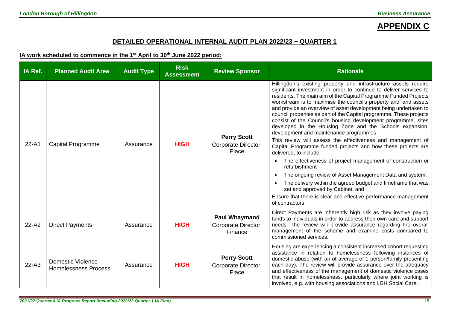# **APPENDIX C**

### **DETAILED OPERATIONAL INTERNAL AUDIT PLAN 2022/23 ~ QUARTER 1**

**IA work scheduled to commence in the 1 st April to 30th June 2022 period:**

| IA Ref.   | <b>Planned Audit Area</b>                               | <b>Audit Type</b> | <b>Risk</b><br><b>Assessment</b> | <b>Review Sponsor</b>                                  | <b>Rationale</b>                                                                                                                                                                                                                                                                                                                                                                                                                                                                                                                                                                                                                                                                                                                                                                                                                                                                                                                                                                                                                                                                               |
|-----------|---------------------------------------------------------|-------------------|----------------------------------|--------------------------------------------------------|------------------------------------------------------------------------------------------------------------------------------------------------------------------------------------------------------------------------------------------------------------------------------------------------------------------------------------------------------------------------------------------------------------------------------------------------------------------------------------------------------------------------------------------------------------------------------------------------------------------------------------------------------------------------------------------------------------------------------------------------------------------------------------------------------------------------------------------------------------------------------------------------------------------------------------------------------------------------------------------------------------------------------------------------------------------------------------------------|
| 22-A1     | <b>Capital Programme</b>                                | Assurance         | <b>HIGH</b>                      | <b>Perry Scott</b><br>Corporate Director,<br>Place     | Hillingdon's existing property and infrastructure assets require<br>significant investment in order to continue to deliver services to<br>residents. The main aim of the Capital Programme Funded Projects<br>workstream is to maximise the council's property and land assets<br>and provide an overview of asset development being undertaken to<br>council properties as part of the Capital programme. These projects<br>consist of the Council's housing development programme, sites<br>developed in the Housing Zone and the Schools expansion,<br>development and maintenance programmes.<br>This review will assess the effectiveness and management of<br>Capital Programme funded projects and how these projects are<br>delivered, to include:<br>The effectiveness of project management of construction or<br>refurbishment<br>The ongoing review of Asset Management Data and system;<br>The delivery within the agreed budget and timeframe that was<br>set and approved by Cabinet; and<br>Ensure that there is clear and effective performance management<br>of contractors. |
| $22 - A2$ | <b>Direct Payments</b>                                  | Assurance         | <b>HIGH</b>                      | <b>Paul Whaymand</b><br>Corporate Director,<br>Finance | Direct Payments are inherently high risk as they involve paying<br>funds to individuals in order to address their own care and support<br>needs. The review will provide assurance regarding the overall<br>management of the scheme and examine costs compared to<br>commissioned services.                                                                                                                                                                                                                                                                                                                                                                                                                                                                                                                                                                                                                                                                                                                                                                                                   |
| $22-A3$   | <b>Domestic Violence</b><br><b>Homelessness Process</b> | Assurance         | <b>HIGH</b>                      | <b>Perry Scott</b><br>Corporate Director,<br>Place     | Housing are experiencing a consistent increased cohort requesting<br>assistance in relation to homelessness following instances of<br>domestic abuse (with an of average of 1 person/family presenting<br>each day). The review will provide assurance over the adequacy<br>and effectiveness of the management of domestic violence cases<br>that result in homelessness, particularly where joint working is<br>involved, e.g. with housing associations and LBH Social Care.                                                                                                                                                                                                                                                                                                                                                                                                                                                                                                                                                                                                                |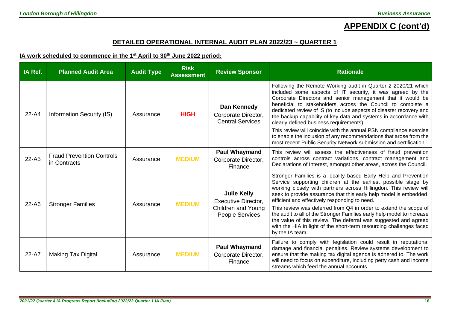# **APPENDIX C (cont'd)**

### **DETAILED OPERATIONAL INTERNAL AUDIT PLAN 2022/23 ~ QUARTER 1**

#### **IA work scheduled to commence in the 1 st April to 30th June 2022 period:**

| IA Ref.   | <b>Planned Audit Area</b>                        | <b>Audit Type</b> | <b>Risk</b><br><b>Assessment</b> | <b>Review Sponsor</b>                                                                            | <b>Rationale</b>                                                                                                                                                                                                                                                                                                                                                                                                                                                                                                                                                                                                                                               |
|-----------|--------------------------------------------------|-------------------|----------------------------------|--------------------------------------------------------------------------------------------------|----------------------------------------------------------------------------------------------------------------------------------------------------------------------------------------------------------------------------------------------------------------------------------------------------------------------------------------------------------------------------------------------------------------------------------------------------------------------------------------------------------------------------------------------------------------------------------------------------------------------------------------------------------------|
| $22 - A4$ | Information Security (IS)                        | Assurance         | <b>HIGH</b>                      | Dan Kennedy<br>Corporate Director,<br><b>Central Services</b>                                    | Following the Remote Working audit in Quarter 2 2020/21 which<br>included some aspects of IT security, it was agreed by the<br>Corporate Directors and senior management that it would be<br>beneficial to stakeholders across the Council to complete a<br>dedicated review of IS (to include aspects of disaster recovery and<br>the backup capability of key data and systems in accordance with<br>clearly defined business requirements).<br>This review will coincide with the annual PSN compliance exercise<br>to enable the inclusion of any recommendations that arose from the<br>most recent Public Security Network submission and certification. |
| $22 - A5$ | <b>Fraud Prevention Controls</b><br>in Contracts | Assurance         | <b>MEDIUM</b>                    | <b>Paul Whaymand</b><br>Corporate Director,<br>Finance                                           | This review will assess the effectiveness of fraud prevention<br>controls across contract variations, contract management and<br>Declarations of Interest, amongst other areas, across the Council.                                                                                                                                                                                                                                                                                                                                                                                                                                                            |
| 22-A6     | <b>Stronger Families</b>                         | Assurance         | <b>MEDIUM</b>                    | <b>Julie Kelly</b><br><b>Executive Director,</b><br><b>Children and Young</b><br>People Services | Stronger Families is a locality based Early Help and Prevention<br>Service supporting children at the earliest possible stage by<br>working closely with partners across Hillingdon. This review will<br>seek to provide assurance that this early help model is embedded,<br>efficient and effectively responding to need.<br>This review was deferred from Q4 in order to extend the scope of<br>the audit to all of the Stronger Families early help model to increase<br>the value of this review. The deferral was suggested and agreed<br>with the HIA in light of the short-term resourcing challenges faced<br>by the IA team.                         |
| 22-A7     | <b>Making Tax Digital</b>                        | Assurance         | <b>MEDIUM</b>                    | <b>Paul Whaymand</b><br>Corporate Director,<br>Finance                                           | Failure to comply with legislation could result in reputational<br>damage and financial penalties. Review systems development to<br>ensure that the making tax digital agenda is adhered to. The work<br>will need to focus on expenditure, including petty cash and income<br>streams which feed the annual accounts.                                                                                                                                                                                                                                                                                                                                         |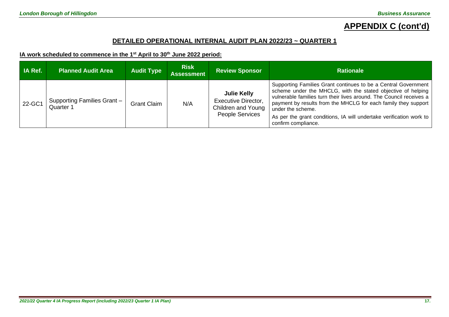# **APPENDIX C (cont'd)**

### **DETAILED OPERATIONAL INTERNAL AUDIT PLAN 2022/23 ~ QUARTER 1**

#### **IA work scheduled to commence in the 1 st April to 30th June 2022 period:**

| IA Ref. | <b>Planned Audit Area</b>                | <b>Audit Type</b>  | <b>Risk</b><br><b>Assessment</b> | <b>Review Sponsor</b>                                                                            | <b>Rationale</b>                                                                                                                                                                                                                                                                                                                                                                           |
|---------|------------------------------------------|--------------------|----------------------------------|--------------------------------------------------------------------------------------------------|--------------------------------------------------------------------------------------------------------------------------------------------------------------------------------------------------------------------------------------------------------------------------------------------------------------------------------------------------------------------------------------------|
| 22-GC1  | Supporting Families Grant -<br>Quarter 1 | <b>Grant Claim</b> | N/A                              | <b>Julie Kelly</b><br><b>Executive Director,</b><br>Children and Young<br><b>People Services</b> | Supporting Families Grant continues to be a Central Government<br>scheme under the MHCLG, with the stated objective of helping<br>vulnerable families turn their lives around. The Council receives a<br>payment by results from the MHCLG for each family they support<br>under the scheme.<br>As per the grant conditions, IA will undertake verification work to<br>confirm compliance. |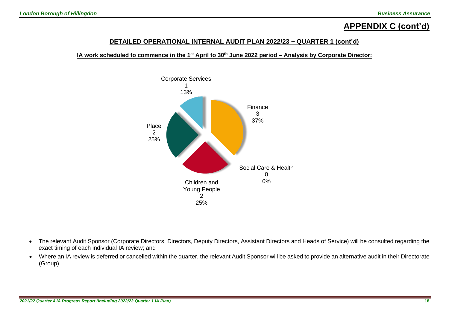# **APPENDIX C (cont'd)**

### **DETAILED OPERATIONAL INTERNAL AUDIT PLAN 2022/23 ~ QUARTER 1 (cont'd)**

**IA work scheduled to commence in the 1 st April to 30th June 2022 period – Analysis by Corporate Director:**



- The relevant Audit Sponsor (Corporate Directors, Directors, Deputy Directors, Assistant Directors and Heads of Service) will be consulted regarding the exact timing of each individual IA review; and
- Where an IA review is deferred or cancelled within the quarter, the relevant Audit Sponsor will be asked to provide an alternative audit in their Directorate (Group).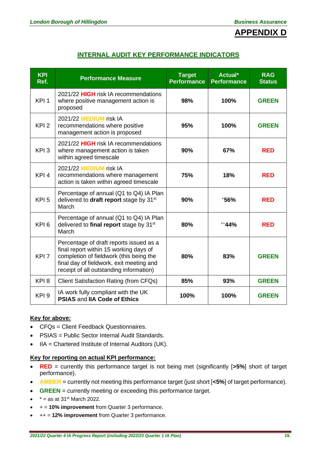

# **INTERNAL AUDIT KEY PERFORMANCE INDICATORS**

| <b>KPI</b><br>Ref. | <b>Performance Measure</b>                                                                                                                                                                                          | <b>Target</b><br><b>Performance</b> | Actual*<br><b>Performance</b> | <b>RAG</b><br><b>Status</b> |
|--------------------|---------------------------------------------------------------------------------------------------------------------------------------------------------------------------------------------------------------------|-------------------------------------|-------------------------------|-----------------------------|
| KPI <sub>1</sub>   | 2021/22 HIGH risk IA recommendations<br>where positive management action is<br>proposed                                                                                                                             | 98%                                 | 100%                          | <b>GREEN</b>                |
| KPI <sub>2</sub>   | 2021/22 MEDIUM risk IA<br>recommendations where positive<br>management action is proposed                                                                                                                           | 95%                                 | 100%                          | <b>GREEN</b>                |
| KPI <sub>3</sub>   | 2021/22 <b>HIGH</b> risk IA recommendations<br>where management action is taken<br>within agreed timescale                                                                                                          | 90%                                 | 67%                           | <b>RED</b>                  |
| KPI <sub>4</sub>   | 2021/22 MEDIUM risk IA<br>recommendations where management<br>action is taken within agreed timescale                                                                                                               | 75%                                 | 18%                           | <b>RED</b>                  |
| KPI <sub>5</sub>   | Percentage of annual (Q1 to Q4) IA Plan<br>delivered to draft report stage by 31 <sup>st</sup><br>March                                                                                                             | 90%                                 | $+56%$                        | <b>RED</b>                  |
| KPI <sub>6</sub>   | Percentage of annual (Q1 to Q4) IA Plan<br>delivered to final report stage by 31 <sup>st</sup><br>March                                                                                                             | 80%                                 | $+44%$                        | <b>RED</b>                  |
| KPI <sub>7</sub>   | Percentage of draft reports issued as a<br>final report within 15 working days of<br>completion of fieldwork (this being the<br>final day of fieldwork, exit meeting and<br>receipt of all outstanding information) | 80%                                 | 83%                           | <b>GREEN</b>                |
| KPI <sub>8</sub>   | <b>Client Satisfaction Rating (from CFQs)</b>                                                                                                                                                                       | 85%                                 | 93%                           | <b>GREEN</b>                |
| KPI <sub>9</sub>   | IA work fully compliant with the UK<br><b>PSIAS and IIA Code of Ethics</b>                                                                                                                                          | 100%                                | 100%                          | <b>GREEN</b>                |

### **Key for above:**

- CFQs = Client Feedback Questionnaires.
- PSIAS = Public Sector Internal Audit Standards.
- IIA = Chartered Institute of Internal Auditors (UK).

#### **Key for reporting on actual KPI performance:**

- **RED** = currently this performance target is not being met (significantly [**>5%**] short of target performance).
- **AMBER** = currently not meeting this performance target (just short [**<5%**] of target performance).
- **GREEN** = currently meeting or exceeding this performance target.
- $\bullet$   $*$  = as at 31<sup>st</sup> March 2022.
- + = **10% improvement** from Quarter 3 performance.
- ++ = **12% improvement** from Quarter 3 performance.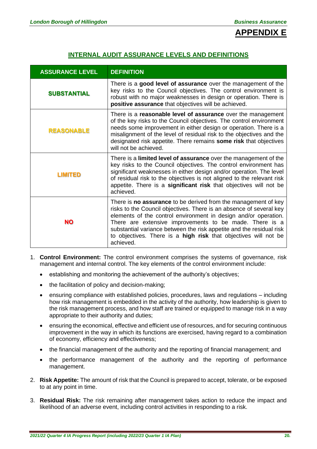

## **INTERNAL AUDIT ASSURANCE LEVELS AND DEFINITIONS**

| <b>ASSURANCE LEVEL</b> | <b>DEFINITION</b>                                                                                                                                                                                                                                                                                                                                                                                                           |
|------------------------|-----------------------------------------------------------------------------------------------------------------------------------------------------------------------------------------------------------------------------------------------------------------------------------------------------------------------------------------------------------------------------------------------------------------------------|
| <b>SUBSTANTIAL</b>     | There is a good level of assurance over the management of the<br>key risks to the Council objectives. The control environment is<br>robust with no major weaknesses in design or operation. There is<br>positive assurance that objectives will be achieved.                                                                                                                                                                |
| <b>REASONABLE</b>      | There is a reasonable level of assurance over the management<br>of the key risks to the Council objectives. The control environment<br>needs some improvement in either design or operation. There is a<br>misalignment of the level of residual risk to the objectives and the<br>designated risk appetite. There remains some risk that objectives<br>will not be achieved.                                               |
| LIMITED                | There is a <b>limited level of assurance</b> over the management of the<br>key risks to the Council objectives. The control environment has<br>significant weaknesses in either design and/or operation. The level<br>of residual risk to the objectives is not aligned to the relevant risk<br>appetite. There is a significant risk that objectives will not be<br>achieved.                                              |
| <b>NO</b>              | There is no assurance to be derived from the management of key<br>risks to the Council objectives. There is an absence of several key<br>elements of the control environment in design and/or operation.<br>There are extensive improvements to be made. There is a<br>substantial variance between the risk appetite and the residual risk<br>to objectives. There is a high risk that objectives will not be<br>achieved. |

- 1. **Control Environment:** The control environment comprises the systems of governance, risk management and internal control. The key elements of the control environment include:
	- establishing and monitoring the achievement of the authority's objectives;
	- the facilitation of policy and decision-making;
	- ensuring compliance with established policies, procedures, laws and regulations including how risk management is embedded in the activity of the authority, how leadership is given to the risk management process, and how staff are trained or equipped to manage risk in a way appropriate to their authority and duties;
	- ensuring the economical, effective and efficient use of resources, and for securing continuous improvement in the way in which its functions are exercised, having regard to a combination of economy, efficiency and effectiveness;
	- the financial management of the authority and the reporting of financial management; and
	- the performance management of the authority and the reporting of performance management.
- 2. **Risk Appetite:** The amount of risk that the Council is prepared to accept, tolerate, or be exposed to at any point in time.
- 3. **Residual Risk:** The risk remaining after management takes action to reduce the impact and likelihood of an adverse event, including control activities in responding to a risk.